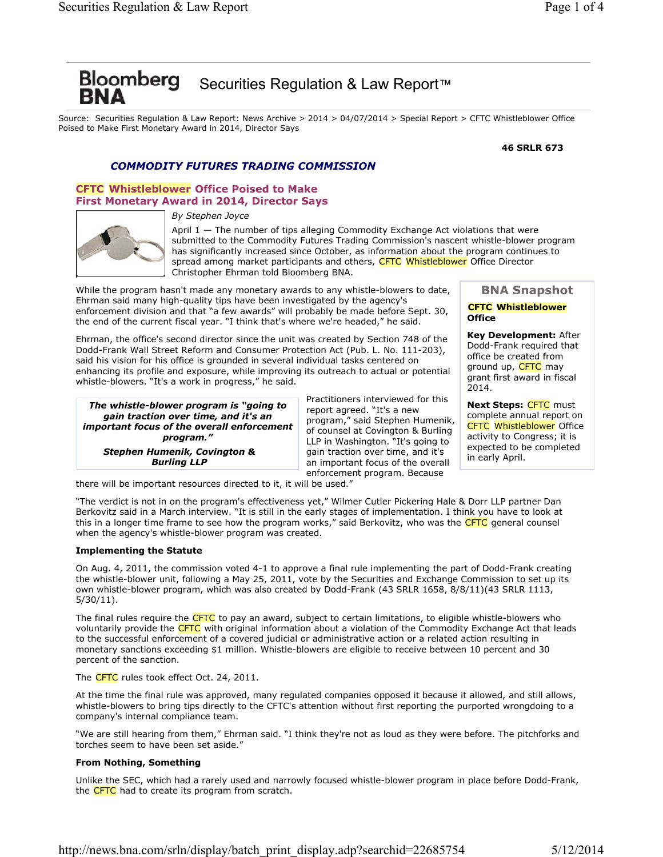# Bloomberg Securities Regulation & Law Report™

Source: Securities Regulation & Law Report: News Archive > 2014 > 04/07/2014 > Special Report > CFTC Whistleblower Office Poised to Make First Monetary Award in 2014, Director Says

#### **46 SRLR 673**

# *COMMODITY FUTURES TRADING COMMISSION*

# **CFTC Whistleblower Office Poised to Make First Monetary Award in 2014, Director Says**

*By Stephen Joyce*



April  $1 -$  The number of tips alleging Commodity Exchange Act violations that were submitted to the Commodity Futures Trading Commission's nascent whistle-blower program has significantly increased since October, as information about the program continues to spread among market participants and others, CFTC Whistleblower Office Director Christopher Ehrman told Bloomberg BNA.

While the program hasn't made any monetary awards to any whistle-blowers to date, Ehrman said many high-quality tips have been investigated by the agency's enforcement division and that "a few awards" will probably be made before Sept. 30, the end of the current fiscal year. "I think that's where we're headed," he said.

Ehrman, the office's second director since the unit was created by Section 748 of the Dodd-Frank Wall Street Reform and Consumer Protection Act (Pub. L. No. 111-203), said his vision for his office is grounded in several individual tasks centered on enhancing its profile and exposure, while improving its outreach to actual or potential whistle-blowers. "It's a work in progress," he said.

*The whistle-blower program is "going to gain traction over time, and it's an important focus of the overall enforcement program." Stephen Humenik, Covington & Burling LLP* 

Practitioners interviewed for this report agreed. "It's a new program," said Stephen Humenik, of counsel at Covington & Burling LLP in Washington. "It's going to gain traction over time, and it's an important focus of the overall enforcement program. Because

# **BNA Snapshot**

### **CFTC Whistleblower Office**

**Key Development:** After Dodd-Frank required that office be created from ground up, CFTC may grant first award in fiscal 2014.

**Next Steps:** CFTC must complete annual report on CFTC Whistleblower Office activity to Congress; it is expected to be completed in early April.

there will be important resources directed to it, it will be used."

"The verdict is not in on the program's effectiveness yet," Wilmer Cutler Pickering Hale & Dorr LLP partner Dan Berkovitz said in a March interview. "It is still in the early stages of implementation. I think you have to look at this in a longer time frame to see how the program works," said Berkovitz, who was the CFTC general counsel when the agency's whistle-blower program was created.

# **Implementing the Statute**

On Aug. 4, 2011, the commission voted 4-1 to approve a final rule implementing the part of Dodd-Frank creating the whistle-blower unit, following a May 25, 2011, vote by the Securities and Exchange Commission to set up its own whistle-blower program, which was also created by Dodd-Frank (43 SRLR 1658, 8/8/11)(43 SRLR 1113, 5/30/11).

The final rules require the CFTC to pay an award, subject to certain limitations, to eligible whistle-blowers who voluntarily provide the CFTC with original information about a violation of the Commodity Exchange Act that leads to the successful enforcement of a covered judicial or administrative action or a related action resulting in monetary sanctions exceeding \$1 million. Whistle-blowers are eligible to receive between 10 percent and 30 percent of the sanction.

The CFTC rules took effect Oct. 24, 2011.

At the time the final rule was approved, many regulated companies opposed it because it allowed, and still allows, whistle-blowers to bring tips directly to the CFTC's attention without first reporting the purported wrongdoing to a company's internal compliance team.

"We are still hearing from them," Ehrman said. "I think they're not as loud as they were before. The pitchforks and torches seem to have been set aside."

# **From Nothing, Something**

Unlike the SEC, which had a rarely used and narrowly focused whistle-blower program in place before Dodd-Frank, the CFTC had to create its program from scratch.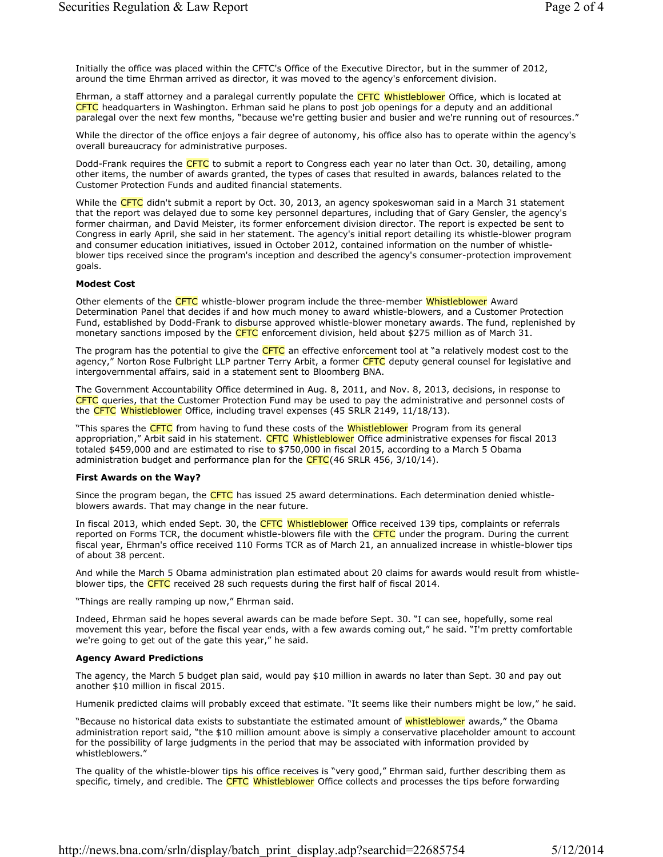Initially the office was placed within the CFTC's Office of the Executive Director, but in the summer of 2012, around the time Ehrman arrived as director, it was moved to the agency's enforcement division.

Ehrman, a staff attorney and a paralegal currently populate the CFTC Whistleblower Office, which is located at CFTC headquarters in Washington. Erhman said he plans to post job openings for a deputy and an additional paralegal over the next few months, "because we're getting busier and busier and we're running out of resources."

While the director of the office enjoys a fair degree of autonomy, his office also has to operate within the agency's overall bureaucracy for administrative purposes.

Dodd-Frank requires the CFTC to submit a report to Congress each year no later than Oct. 30, detailing, among other items, the number of awards granted, the types of cases that resulted in awards, balances related to the Customer Protection Funds and audited financial statements.

While the CFTC didn't submit a report by Oct. 30, 2013, an agency spokeswoman said in a March 31 statement that the report was delayed due to some key personnel departures, including that of Gary Gensler, the agency's former chairman, and David Meister, its former enforcement division director. The report is expected be sent to Congress in early April, she said in her statement. The agency's initial report detailing its whistle-blower program and consumer education initiatives, issued in October 2012, contained information on the number of whistleblower tips received since the program's inception and described the agency's consumer-protection improvement goals.

#### **Modest Cost**

Other elements of the CFTC whistle-blower program include the three-member Whistleblower Award Determination Panel that decides if and how much money to award whistle-blowers, and a Customer Protection Fund, established by Dodd-Frank to disburse approved whistle-blower monetary awards. The fund, replenished by monetary sanctions imposed by the CFTC enforcement division, held about \$275 million as of March 31.

The program has the potential to give the CFTC an effective enforcement tool at "a relatively modest cost to the agency," Norton Rose Fulbright LLP partner Terry Arbit, a former CFTC deputy general counsel for legislative and intergovernmental affairs, said in a statement sent to Bloomberg BNA.

The Government Accountability Office determined in Aug. 8, 2011, and Nov. 8, 2013, decisions, in response to CFTC queries, that the Customer Protection Fund may be used to pay the administrative and personnel costs of the CFTC Whistleblower Office, including travel expenses (45 SRLR 2149, 11/18/13).

"This spares the CFTC from having to fund these costs of the Whistleblower Program from its general appropriation," Arbit said in his statement. CFTC Whistleblower Office administrative expenses for fiscal 2013 totaled \$459,000 and are estimated to rise to \$750,000 in fiscal 2015, according to a March 5 Obama administration budget and performance plan for the  $CFTC(46$  SRLR 456, 3/10/14).

#### **First Awards on the Way?**

Since the program began, the CFTC has issued 25 award determinations. Each determination denied whistleblowers awards. That may change in the near future.

In fiscal 2013, which ended Sept. 30, the CFTC Whistleblower Office received 139 tips, complaints or referrals reported on Forms TCR, the document whistle-blowers file with the CFTC under the program. During the current fiscal year, Ehrman's office received 110 Forms TCR as of March 21, an annualized increase in whistle-blower tips of about 38 percent.

And while the March 5 Obama administration plan estimated about 20 claims for awards would result from whistleblower tips, the CFTC received 28 such requests during the first half of fiscal 2014.

"Things are really ramping up now," Ehrman said.

Indeed, Ehrman said he hopes several awards can be made before Sept. 30. "I can see, hopefully, some real movement this year, before the fiscal year ends, with a few awards coming out," he said. "I'm pretty comfortable we're going to get out of the gate this year," he said.

# **Agency Award Predictions**

The agency, the March 5 budget plan said, would pay \$10 million in awards no later than Sept. 30 and pay out another \$10 million in fiscal 2015.

Humenik predicted claims will probably exceed that estimate. "It seems like their numbers might be low," he said.

"Because no historical data exists to substantiate the estimated amount of whistleblower awards," the Obama administration report said, "the \$10 million amount above is simply a conservative placeholder amount to account for the possibility of large judgments in the period that may be associated with information provided by whistleblowers."

The quality of the whistle-blower tips his office receives is "very good," Ehrman said, further describing them as specific, timely, and credible. The CFTC Whistleblower Office collects and processes the tips before forwarding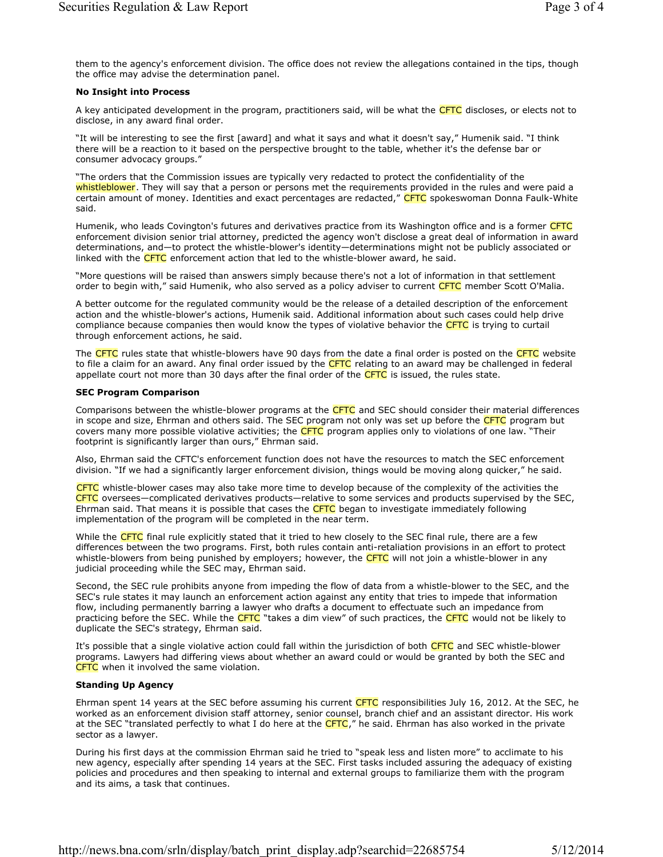them to the agency's enforcement division. The office does not review the allegations contained in the tips, though the office may advise the determination panel.

#### **No Insight into Process**

A key anticipated development in the program, practitioners said, will be what the CFTC discloses, or elects not to disclose, in any award final order.

"It will be interesting to see the first [award] and what it says and what it doesn't say," Humenik said. "I think there will be a reaction to it based on the perspective brought to the table, whether it's the defense bar or consumer advocacy groups."

"The orders that the Commission issues are typically very redacted to protect the confidentiality of the whistleblower. They will say that a person or persons met the requirements provided in the rules and were paid a certain amount of money. Identities and exact percentages are redacted," CFTC spokeswoman Donna Faulk-White said.

Humenik, who leads Covington's futures and derivatives practice from its Washington office and is a former CFTC enforcement division senior trial attorney, predicted the agency won't disclose a great deal of information in award determinations, and—to protect the whistle-blower's identity—determinations might not be publicly associated or linked with the  $CFTC$  enforcement action that led to the whistle-blower award, he said.

"More questions will be raised than answers simply because there's not a lot of information in that settlement order to begin with," said Humenik, who also served as a policy adviser to current CFTC member Scott O'Malia.

A better outcome for the regulated community would be the release of a detailed description of the enforcement action and the whistle-blower's actions, Humenik said. Additional information about such cases could help drive compliance because companies then would know the types of violative behavior the CFTC is trying to curtail through enforcement actions, he said.

The CFTC rules state that whistle-blowers have 90 days from the date a final order is posted on the CFTC website to file a claim for an award. Any final order issued by the CFTC relating to an award may be challenged in federal appellate court not more than 30 days after the final order of the  $CFTC$  is issued, the rules state.

#### **SEC Program Comparison**

Comparisons between the whistle-blower programs at the CFTC and SEC should consider their material differences in scope and size, Ehrman and others said. The SEC program not only was set up before the CFTC program but covers many more possible violative activities; the CFTC program applies only to violations of one law. "Their footprint is significantly larger than ours," Ehrman said.

Also, Ehrman said the CFTC's enforcement function does not have the resources to match the SEC enforcement division. "If we had a significantly larger enforcement division, things would be moving along quicker," he said.

CFTC whistle-blower cases may also take more time to develop because of the complexity of the activities the CFTC oversees—complicated derivatives products—relative to some services and products supervised by the SEC, Ehrman said. That means it is possible that cases the CFTC began to investigate immediately following implementation of the program will be completed in the near term.

While the CFTC final rule explicitly stated that it tried to hew closely to the SEC final rule, there are a few differences between the two programs. First, both rules contain anti-retaliation provisions in an effort to protect whistle-blowers from being punished by employers; however, the CFTC will not join a whistle-blower in any judicial proceeding while the SEC may, Ehrman said.

Second, the SEC rule prohibits anyone from impeding the flow of data from a whistle-blower to the SEC, and the SEC's rule states it may launch an enforcement action against any entity that tries to impede that information flow, including permanently barring a lawyer who drafts a document to effectuate such an impedance from practicing before the SEC. While the CFTC "takes a dim view" of such practices, the CFTC would not be likely to duplicate the SEC's strategy, Ehrman said.

It's possible that a single violative action could fall within the jurisdiction of both CFTC and SEC whistle-blower programs. Lawyers had differing views about whether an award could or would be granted by both the SEC and CFTC when it involved the same violation.

# **Standing Up Agency**

Ehrman spent 14 years at the SEC before assuming his current CFTC responsibilities July 16, 2012. At the SEC, he worked as an enforcement division staff attorney, senior counsel, branch chief and an assistant director. His work at the SEC "translated perfectly to what I do here at the CFTC," he said. Ehrman has also worked in the private sector as a lawyer.

During his first days at the commission Ehrman said he tried to "speak less and listen more" to acclimate to his new agency, especially after spending 14 years at the SEC. First tasks included assuring the adequacy of existing policies and procedures and then speaking to internal and external groups to familiarize them with the program and its aims, a task that continues.